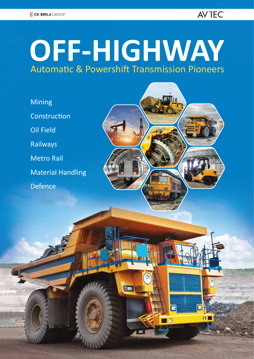# Automatic & Powershift Transmission Pioneers **OFF-HIGHWAY**

**Free** 

Mining **Construction** Oil Field Railways Metro Rail Material Handling Defence



 $\blacksquare$ 

**AVTEC**<sup>®</sup>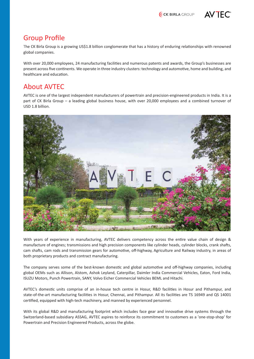

## Group Profile

The CK Birla Group is a growing US\$1.8 billion conglomerate that has a history of enduring relationships with renowned global companies.

With over 20,000 employees, 24 manufacturing facilities and numerous patents and awards, the Group's businesses are present across five continents. We operate in three industry clusters: technology and automotive, home and building, and healthcare and education.

# About AVTEC

AVTEC is one of the largest independent manufacturers of powertrain and precision-engineered products in India. It is a part of CK Birla Group – a leading global business house, with over 20,000 employees and a combined turnover of USD 1.8 billion.



With years of experience in manufacturing, AVTEC delivers competency across the entire value chain of design & manufacture of engines; transmissions and high precision components like cylinder heads, cylinder blocks, crank shafts, cam shafts, cam rods and transmission gears for automotive, off-highway, Agriculture and Railway industry, in areas of both proprietary products and contract manufacturing.

The company serves some of the best-known domestic and global automotive and off-highway companies, including global OEMs such as Allison, Alstom, Ashok Leyland, Caterpillar, Daimler India Commercial Vehicles, Eaton, Ford India, ISUZU Motors, Punch Powertrain, SANY, Volvo Eicher Commercial Vehicles BEML and Hitachi.

AVTEC's domestic units comprise of an in-house tech centre in Hosur, R&D facilities in Hosur and Pithampur, and state-of-the-art manufacturing facilities in Hosur, Chennai, and Pithampur. All its facilities are TS 16949 and QS 14001 certified, equipped with high-tech machinery, and manned by experienced personnel.

With its global R&D and manufacturing footprint which includes face gear and innovative drive systems through the Switzerland-based subsidiary ASSAG, AVTEC aspires to reinforce its commitment to customers as a 'one-stop-shop' for Powertrain and Precision Engineered Products, across the globe.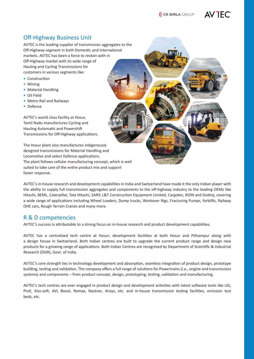## Off-Highway Business Unit

AVTEC is the leading supplier of transmission aggregates to the Off-Highway segment in both Domestic and International markets. AVTEC has been a force to reckon with in Off-Highway market with its wide range of Hauling and Cycling Transmissions for customers in various segments like:

- Construction
- Mining
- Material Handling
- Oil Field
- Metro Rail and Railways
- Defence

AVTEC's world class facility at Hosur, Tamil Nadu manufactures Cycling and Hauling Automatic and Powershift Transmissions for Off-Highway applications.

The Hosur plant also manufactures indigenously designed transmissions for Material Handling and Locomotive and select Defence applications. The plant follows cellular manufacturing concept, which is well suited to take care of the entire product mix and support faster response.

AVTEC's in-house research and development capabilities in India and Switzerland have made it the only Indian player with the ability to supply full transmission aggregates and components to the off-highway industry to the leading OEMs like Hitachi, BEML, Caterpillar, Tata Hitachi, SANY, L&T Construction Equipment Limited, Cargotec, KION and Godrej, covering a wide range of applications including Wheel Loaders, Dump trucks, Workover Rigs, Fracturing Pumps, forklifts, Railway OHE cars, Rough Terrain Cranes and many more.

#### R & D competencies

AVTEC's success is attributable to a strong focus on in-house research and product development capabilities.

AVTEC has a centralized tech centre at Hosur; development facilities at both Hosur and Pithampur along with a design house in Switzerland. Both Indian centres are built to upgrade the current product range and design new products for a growing range of applications. Both Indian Centres are recognised by Department of Scientific & Industrial Research (DSIR), Govt. of India.

AVTEC's core strength lies in technology development and absorption, seamless integration of product design, prototype building, testing and validation. The company offers a full range of solutions for Powertrains (i.e., engine and transmission systems) and components – from product concept, design, prototyping, testing, validation and manufacturing.

AVTEC's tech centres are ever engaged in product design and development activities with latest software tools like UG, ProE, Kiss-soft, AVL Boost, Romax, Nastran, Ansys, etc. and in-house transmission testing facilities, emission test beds, etc.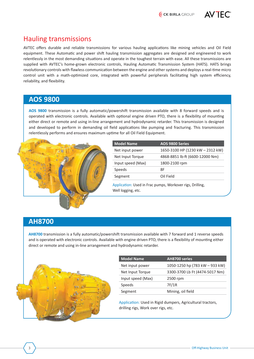## Hauling transmissions

AVTEC offers durable and reliable transmissions for various hauling applications like mining vehicles and Oil Field equipment. These Automatic and power shift hauling transmission aggregates are designed and engineered to work relentlessly in the most demanding situations and operate in the toughest terrain with ease. All these transmissions are supplied with AVTEC's home-grown electronic controls, Hauling Automatic Transmission System (HATS). HATS brings revolutionary controls with flawless communication between the engine and other systems and deploys a real-time micro control unit with a math-optimized core, integrated with powerful peripherals facilitating high system efficiency, reliability, and flexibility.

## **AOS 9800**

**AOS 9800** transmission is a fully automatic/powershift transmission available with 8 forward speeds and is operated with electronic controls. Available with optional engine driven PTO, there is a flexibility of mounting either direct or remote and using in-line arrangement and hydrodynamic retarder. This transmission is designed and developed to perform in demanding oil field applications like pumping and fracturing. This transmission relentlessly performs and ensures maximum uptime for all Oil Field Equipment.



| <b>Model Name</b> | <b>AOS 9800 Series</b>           |
|-------------------|----------------------------------|
| Net input power   | 1650-3100 HP (1230 kW - 2312 kW) |
| Net Input Torque  | 4868-8851 lb-ft (6600-12000 Nm)  |
| Input speed (Max) | 1800-2100 rpm                    |
| Speeds            | 8F                               |
| Segment           | Oil Field                        |

#### **AH8700**

**AH8700** transmission is a fully automatic/powershift transmission available with 7 forward and 1 reverse speeds and is operated with electronic controls. Available with engine driven PTO, there is a flexibility of mounting either direct or remote and using in-line arrangement and hydrodynamic retarder.



| <b>Model Name</b> | <b>AH8700 series</b>           |
|-------------------|--------------------------------|
| Net input power   | 1050-1250 hp (783 kW - 933 kW) |
| Net Input Torque  | 3300-3700 Lb Ft (4474-5017 Nm) |
| Input speed (Max) | 2500 rpm                       |
| <b>Speeds</b>     | 7F/1R                          |
| Segment           | Mining, oil field              |

Application: Used in Rigid dumpers, Agricultural tractors, drilling rigs, Work over rigs, etc.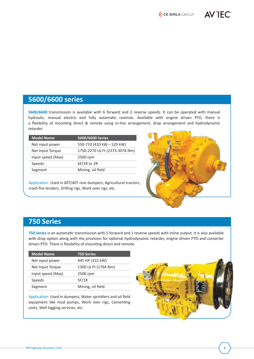## **5600/6600 series**

**5600/6600** transmission is available with 6 forward and 2 reverse speeds. It can be operated with manual hydraulic, manual electric and fully automatic controls. Available with engine driven PTO, there is a flexibility of mounting direct & remote using in-line arrangement, drop arrangement and hydrodynamic retarder.

| <b>Model Name</b> | 5600/6600 Series               |
|-------------------|--------------------------------|
| Net input power   | 550-710 (410 kW - 529 kW)      |
| Net Input Torque  | 1750-2270 Lb Ft (2373-3078 Nm) |
| Input speed (Max) | 2500 rpm                       |
| <b>Speeds</b>     | 6F/1R or 2R                    |
| Segment           | Mining, oil field              |

Application: Used in 60T/40T rear dumpers, Agricultural tractors, crash fire tenders, Drilling rigs, Work over rigs, etc.



## **750 Series**

**750 Series** is an automatic transmission with 5 forward and 1 reverse speeds with inline output. It is also available with drop option along with the provision for optional hydrodynamic retarder, engine driven PTO and converter driven PTO. There is flexibility of mounting direct and remote.

| <b>Model Name</b> | <b>750 Series</b>    |
|-------------------|----------------------|
| Net input power   | 445 HP (332 kW)      |
| Net Input Torque  | 1300 Lb Ft (1764 Nm) |
| Input speed (Max) | 2500 rpm             |
| Speeds            | 5F/1R                |
| Segment           | Mining, oil field    |

Application: Used in dumpers, Water sprinklers and oil field equipment like mud pumps, Work over rigs, Cementing units, Well logging services, etc.

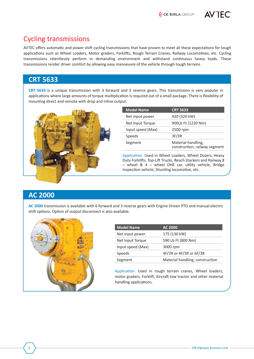# Cycling transmissions

AVTEC offers automatic and power shift cycling transmissions that have proven to meet all these expectations for tough applications such as Wheel Loaders, Motor graders, Forklifts, Rough Terrain Cranes, Railway Locomotives, etc. Cycling transmissions relentlessly perform in demanding environment and withstand continuous heavy loads. These transmissions render driver comfort by allowing easy manoeuvre of the vehicle through tough terrains.

## **CRT 5633**

**CRT 5633** is a unique transmission with 3 forward and 3 reverse gears. This transmission is very popular in applications where large amounts of torque multiplication is required out of a small package. There is flexibility of mounting direct and remote with drop and inline output.



| <b>Model Name</b> | <b>CRT 5633</b>                                     |
|-------------------|-----------------------------------------------------|
| Net input power   | 430 (320 kW)                                        |
| Net Input Torque  | 900Lb Ft (1220 Nm)                                  |
| Input speed (Max) | 2500 rpm                                            |
| <b>Speeds</b>     | 3F/3R                                               |
| Segment           | Material handling,<br>construction, railway segment |

Application: Used in Wheel Loaders, Wheel Dozers, Heavy Duty Forklifts, Top-Lift Trucks, Reach Stackers and Railway 8 – wheel & 4 – wheel OHE car, utility vehicle, Bridge inspection vehicle, Shunting locomotive, etc.

# **AC 2000**

**AC 2000** transmission is available with 6 forward and 3 reverse gears with Engine Driven PTO and manual electric shift options. Option of output disconnect is also available.



| <b>Model Name</b> | <b>AC 2000</b>                  |
|-------------------|---------------------------------|
| Net input power   | 175 (130 kW)                    |
| Net Input Torque  | 590 Lb Ft (800 Nm)              |
| Input speed (Max) | 3000 rpm                        |
| Speeds            | 4F/2R or 4F/3R or 6F/3R         |
| Segment           | Material handling, construction |

Application: Used in rough terrain cranes, Wheel loaders, motor graders, Forklift, Aircraft tow tractor and other material handling applications.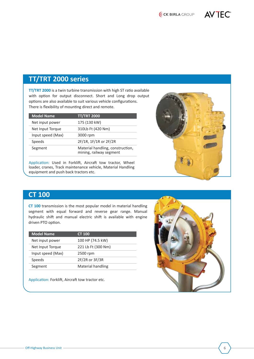# **TT/TRT 2000 series**

**TT/TRT 2000** is a twin turbine transmission with high ST ratio available with option for output disconnect. Short and Long drop output options are also available to suit various vehicle configurations. There is flexibility of mounting direct and remote.

| <b>Model Name</b> | <b>TT/TRT 2000</b>                                          |
|-------------------|-------------------------------------------------------------|
| Net input power   | 175 (130 kW)                                                |
| Net Input Torque  | 310Lb Ft (420 Nm)                                           |
| Input speed (Max) | 3000 rpm                                                    |
| <b>Speeds</b>     | 2F/1R, 1F/1R or 2F/2R                                       |
| Segment           | Material handling, construction,<br>mining, railway segment |

Application: Used in Forklift, Aircraft tow tractor, Wheel loader, cranes, Track maintenance vehicle, Material Handling equipment and push back tractors etc.



## **CT 100**

**CT 100** transmission is the most popular model in material handling segment with equal forward and reverse gear range. Manual hydraulic shift and manual electric shift is available with engine driven PTO option.

| <b>Model Name</b> | <b>CT 100</b>      |
|-------------------|--------------------|
| Net input power   | 100 HP (74.5 kW)   |
| Net Input Torque  | 221 Lb Ft (300 Nm) |
| Input speed (Max) | 2500 rpm           |
| Speeds            | $2F/2R$ or $3F/3R$ |
| Segment           | Material handling  |
|                   |                    |

Application: Forklift, Aircraft tow tractor etc.

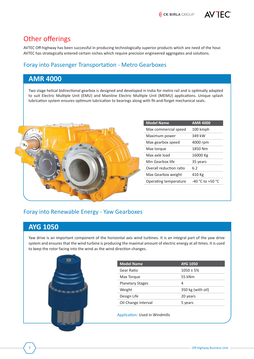# Other offerings

AVTEC Off-highway has been successful in producing technologically superior products which are need of the hour. AVTEC has strategically entered certain niches which require precision engineered aggregates and solutions.

#### Foray into Passenger Transportation - Metro Gearboxes

# **AMR 4000**

Two stage helical bidirectional gearbox is designed and developed in India for metro rail and is optimally adapted to suit Electric Multiple Unit (EMU) and Mainline Electric Multiple Unit (MEMU) applications. Unique splash lubrication system ensures optimum lubrication to bearings along with fit-and-forget mechanical seals.



| <b>Model Name</b>       | <b>AMR 4000</b>      |
|-------------------------|----------------------|
| Max commercial speed    | 100 kmph             |
| Maximum power           | 349 kW               |
| Max gearbox speed       | 4000 rpm             |
| Max torque              | 1850 Nm              |
| Max axle load           | 16000 Kg             |
| Min Gearbox life        | 35 years             |
| Overall reduction ratio | 6.2                  |
| Max Gearbox weight      | 410 Kg               |
| Operating temperature   | $-40 °C$ to $+50 °C$ |

#### Foray into Renewable Energy - Yaw Gearboxes

### **AYG 1050**

Yaw drive is an important component of the horizontal axis wind turbines. It is an integral part of the yaw drive system and ensures that the wind turbine is producing the maximal amount of electric energy at all times. It is used to keep the rotor facing into the wind as the wind direction changes.



| <b>Model Name</b>       | <b>AYG 1050</b>   |
|-------------------------|-------------------|
| Gear Ratio              | $1050 \pm 5%$     |
| Max Torque              | 55 kNm            |
| <b>Planetary Stages</b> | 4                 |
| Weight                  | 350 kg (with oil) |
| Design Life             | 20 years          |
| Oil Change Interval     | 5 years           |

Application: Used in Windmills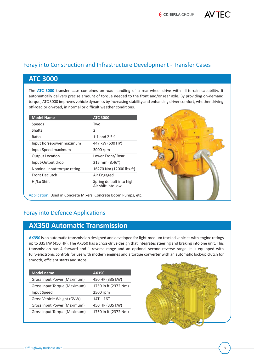## Foray into Construction and Infrastructure Development - Transfer Cases

# **ATC 3000**

The **ATC 3000** transfer case combines on-road handling of a rear-wheel drive with all-terrain capability. It automatically delivers precise amount of torque needed to the front and/or rear axle. By providing on-demand torque, ATC 3000 improves vehicle dynamics by increasing stability and enhancing driver comfort, whether driving off-road or on-road, in normal or difficult weather conditions.

| <b>Model Name</b>           | <b>ATC 3000</b>                                  |
|-----------------------------|--------------------------------------------------|
| Speeds                      | Two                                              |
| Shafts                      | $\mathcal{P}$                                    |
| Ratio                       | 1:1 and $2.5:1$                                  |
| Input horsepower maximum    | 447 kW (600 HP)                                  |
| Input Speed maximum         | 3000 rpm                                         |
| <b>Output Location</b>      | Lower Front/ Rear                                |
| Input-Output drop           | 215 mm (8.46")                                   |
| Nominal input torque rating | 16270 Nm (12000 lbs-ft)                          |
| Front Declutch              | Air Engaged                                      |
| Hi/Lo Shift                 | Spring default into high.<br>Air shift into low. |



Application: Used in Concrete Mixers, Concrete Boom Pumps, etc.

#### Foray into Defence Applications

### **AX350 Automatic Transmission**

**AX350** is an automatic transmission designed and developed for light-medium tracked vehicles with engine ratings up to 335 kW (450 HP). The AX350 has a cross-drive design that integrates steering and braking into one unit. This transmission has 4 forward and 1 reverse range and an optional second reverse range. It is equipped with fully-electronic controls for use with modern engines and a torque converter with an automatic lock-up clutch for smooth, efficient starts and stops.

| 450 HP (335 kW)      |
|----------------------|
| 1750 lb ft (2372 Nm) |
|                      |
|                      |
| 450 HP (335 kW)      |
| 1750 lb ft (2372 Nm) |
|                      |

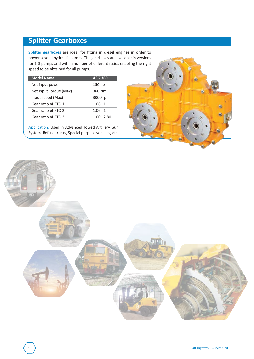# **Splitter Gearboxes**

**Splitter gearboxes** are ideal for fitting in diesel engines in order to power several hydraulic pumps. The gearboxes are available in versions for 1-3 pumps and with a number of different ratios enabling the right speed to be obtained for all pumps.

| <b>Model Name</b>      | <b>ASG 360</b> |
|------------------------|----------------|
| Net input power        | $150$ hp       |
| Net Input Torque (Max) | 360 Nm         |
| Input speed (Max)      | 3000 rpm       |
| Gear ratio of PTO 1    | 1.06:1         |
| Gear ratio of PTO 2    | 1.06:1         |
| Gear ratio of PTO 3    | 1.00:2.80      |

Application: Used in Advanced Towed Artillery Gun System, Refuse trucks, Special purpose vehicles, etc.



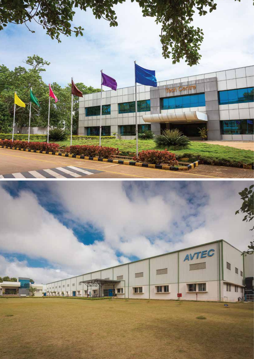